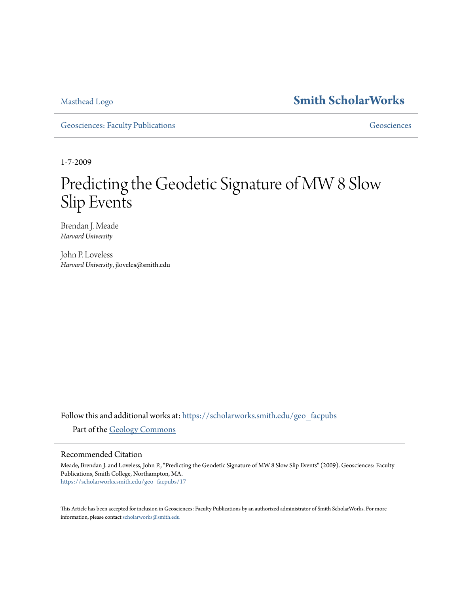## [Masthead Logo](http://www.smith.edu/?utm_source=scholarworks.smith.edu%2Fgeo_facpubs%2F17&utm_medium=PDF&utm_campaign=PDFCoverPages) **[Smith ScholarWorks](https://scholarworks.smith.edu?utm_source=scholarworks.smith.edu%2Fgeo_facpubs%2F17&utm_medium=PDF&utm_campaign=PDFCoverPages)**

[Geosciences: Faculty Publications](https://scholarworks.smith.edu/geo_facpubs?utm_source=scholarworks.smith.edu%2Fgeo_facpubs%2F17&utm_medium=PDF&utm_campaign=PDFCoverPages) [Geosciences](https://scholarworks.smith.edu/geo?utm_source=scholarworks.smith.edu%2Fgeo_facpubs%2F17&utm_medium=PDF&utm_campaign=PDFCoverPages)

1-7-2009

# Predicting the Geodetic Signature of MW 8 Slow Slip Events

Brendan J. Meade *Harvard University*

John P. Loveless *Harvard University*, jloveles@smith.edu

Follow this and additional works at: [https://scholarworks.smith.edu/geo\\_facpubs](https://scholarworks.smith.edu/geo_facpubs?utm_source=scholarworks.smith.edu%2Fgeo_facpubs%2F17&utm_medium=PDF&utm_campaign=PDFCoverPages)

Part of the [Geology Commons](http://network.bepress.com/hgg/discipline/156?utm_source=scholarworks.smith.edu%2Fgeo_facpubs%2F17&utm_medium=PDF&utm_campaign=PDFCoverPages)

#### Recommended Citation

Meade, Brendan J. and Loveless, John P., "Predicting the Geodetic Signature of MW 8 Slow Slip Events" (2009). Geosciences: Faculty Publications, Smith College, Northampton, MA. [https://scholarworks.smith.edu/geo\\_facpubs/17](https://scholarworks.smith.edu/geo_facpubs/17?utm_source=scholarworks.smith.edu%2Fgeo_facpubs%2F17&utm_medium=PDF&utm_campaign=PDFCoverPages)

This Article has been accepted for inclusion in Geosciences: Faculty Publications by an authorized administrator of Smith ScholarWorks. For more information, please contact [scholarworks@smith.edu](mailto:scholarworks@smith.edu)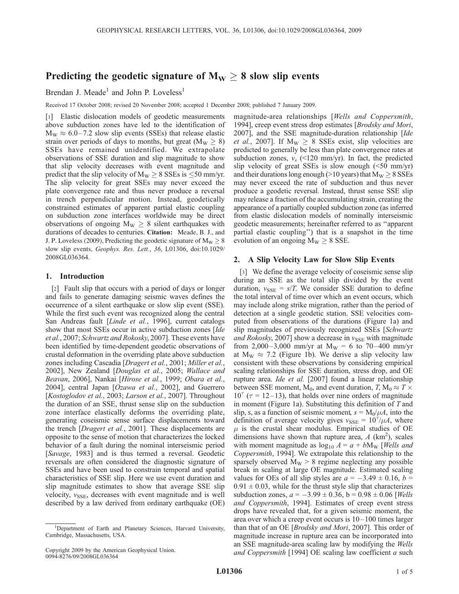### Predicting the geodetic signature of  $M_W \geq 8$  slow slip events

Brendan J. Meade<sup>1</sup> and John P. Loveless<sup>1</sup>

Received 17 October 2008; revised 20 November 2008; accepted 1 December 2008; published 7 January 2009.

[1] Elastic dislocation models of geodetic measurements above subduction zones have led to the identification of  $M_W \approx 6.0 - 7.2$  slow slip events (SSEs) that release elastic strain over periods of days to months, but great ( $M_W \ge 8$ ) SSEs have remained unidentified. We extrapolate observations of SSE duration and slip magnitude to show that slip velocity decreases with event magnitude and predict that the slip velocity of  $M_W \ge 8$  SSEs is  $\le 50$  mm/yr. The slip velocity for great SSEs may never exceed the plate convergence rate and thus never produce a reversal in trench perpendicular motion. Instead, geodetically constrained estimates of apparent partial elastic coupling on subduction zone interfaces worldwide may be direct observations of ongoing  $M_W \geq 8$  silent earthquakes with durations of decades to centuries. Citation: Meade, B. J., and J. P. Loveless (2009), Predicting the geodetic signature of  $M_W \ge 8$ slow slip events, Geophys. Res. Lett., 36, L01306, doi:10.1029/ 2008GL036364.

#### 1. Introduction

[2] Fault slip that occurs with a period of days or longer and fails to generate damaging seismic waves defines the occurrence of a silent earthquake or slow slip event (SSE). While the first such event was recognized along the central San Andreas fault [Linde et al., 1996], current catalogs show that most SSEs occur in active subduction zones [Ide] et al., 2007; Schwartz and Rokosky, 2007]. These events have been identified by time-dependent geodetic observations of crustal deformation in the overriding plate above subduction zones including Cascadia [Dragert et al., 2001; Miller et al., 2002], New Zealand [Douglas et al., 2005; Wallace and Beavan, 2006], Nankai [Hirose et al., 1999; Obara et al., 2004], central Japan [Ozawa et al., 2002], and Guerrero [Kostoglodov et al., 2003; Larson et al., 2007]. Throughout the duration of an SSE, thrust sense slip on the subduction zone interface elastically deforms the overriding plate, generating coseismic sense surface displacements toward the trench [Dragert et al., 2001]. These displacements are opposite to the sense of motion that characterizes the locked behavior of a fault during the nominal interseismic period [Savage, 1983] and is thus termed a reversal. Geodetic reversals are often considered the diagnostic signature of SSEs and have been used to constrain temporal and spatial characteristics of SSE slip. Here we use event duration and slip magnitude estimates to show that average SSE slip velocity,  $v_{SSE}$ , decreases with event magnitude and is well described by a law derived from ordinary earthquake (OE)

magnitude-area relationships [Wells and Coppersmith, 1994], creep event stress drop estimates [Brodsky and Mori, 2007], and the SSE magnitude-duration relationship [Ide *et al.*, 2007]. If  $M_W \ge 8$  SSEs exist, slip velocities are predicted to generally be less than plate convergence rates at subduction zones,  $v_s$  (<120 mm/yr). In fact, the predicted slip velocity of great SSEs is slow enough  $\left( \leq 50 \right)$  mm/yr) and their durations long enough (>10 years) that  $M_W \geq 8$  SSEs may never exceed the rate of subduction and thus never produce a geodetic reversal. Instead, thrust sense SSE slip may release a fraction of the accumulating strain, creating the appearance of a partially coupled subduction zone (as inferred from elastic dislocation models of nominally interseismic geodetic measurements; hereinafter referred to as ''apparent partial elastic coupling'') that is a snapshot in the time evolution of an ongoing  $M_W \geq 8$  SSE.

#### 2. A Slip Velocity Law for Slow Slip Events

[3] We define the average velocity of coseismic sense slip during an SSE as the total slip divided by the event duration,  $v_{SSE} = s/T$ . We consider SSE duration to define the total interval of time over which an event occurs, which may include along strike migration, rather than the period of detection at a single geodetic station. SSE velocities computed from observations of the durations (Figure 1a) and slip magnitudes of previously recognized SSEs [Schwartz and Rokosky, 2007] show a decrease in  $v_{\text{SSE}}$  with magnitude from 2,000–3,000 mm/yr at  $M_W = 6$  to 70–400 mm/yr at  $M_W \approx 7.2$  (Figure 1b). We derive a slip velocity law consistent with these observations by considering empirical scaling relationships for SSE duration, stress drop, and OE rupture area. Ide et al. [2007] found a linear relationship between SSE moment,  $M_0$ , and event duration,  $T$ ,  $M_0 \approx T \times T$  $10^{\tau}$  ( $\tau$  = 12–13), that holds over nine orders of magnitude in moment (Figure 1a). Substituting this definition of T and slip, *s*, as a function of seismic moment,  $s = M_0/\mu A$ , into the definition of average velocity gives  $v_{SSE} = 10^7/\mu A$ , where  $\mu$  is the crustal shear modulus. Empirical studies of OE dimensions have shown that rupture area,  $A$  (km<sup>2</sup>), scales with moment magnitude as  $log_{10} A = a + bM_W$  [*Wells and* Coppersmith, 1994]. We extrapolate this relationship to the sparsely observed  $M_W > 8$  regime neglecting any possible break in scaling at large OE magnitude. Estimated scaling values for OEs of all slip styles are  $a = -3.49 \pm 0.16$ ,  $b =$  $0.91 \pm 0.03$ , while for the thrust style slip that characterizes subduction zones,  $a = -3.99 \pm 0.36$ ,  $b = 0.98 \pm 0.06$  [*Wells* and Coppersmith, 1994]. Estimates of creep event stress drops have revealed that, for a given seismic moment, the area over which a creep event occurs is  $10-100$  times larger than that of an OE [Brodsky and Mori, 2007]. This order of magnitude increase in rupture area can be incorporated into an SSE magnitude-area scaling law by modifying the Wells and Coppersmith [1994] OE scaling law coefficient a such

<sup>&</sup>lt;sup>1</sup>Department of Earth and Planetary Sciences, Harvard University, Cambridge, Massachusetts, USA.

Copyright 2009 by the American Geophysical Union. 0094-8276/09/2008GL036364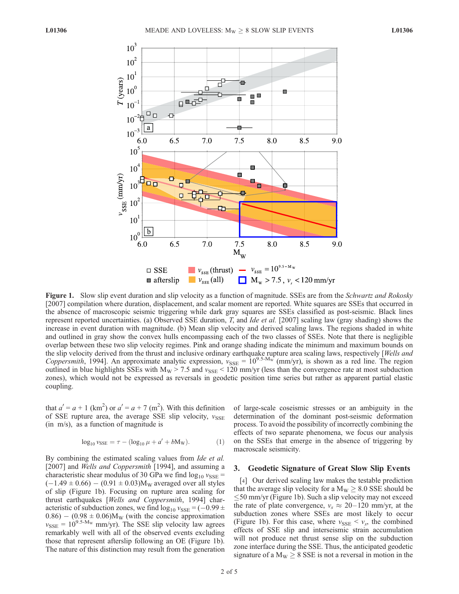

Figure 1. Slow slip event duration and slip velocity as a function of magnitude. SSEs are from the Schwartz and Rokosky [2007] compilation where duration, displacement, and scalar moment are reported. White squares are SSEs that occurred in the absence of macroscopic seismic triggering while dark gray squares are SSEs classified as post-seismic. Black lines represent reported uncertainties. (a) Observed SSE duration, T, and Ide et al. [2007] scaling law (gray shading) shows the increase in event duration with magnitude. (b) Mean slip velocity and derived scaling laws. The regions shaded in white and outlined in gray show the convex hulls encompassing each of the two classes of SSEs. Note that there is negligible overlap between these two slip velocity regimes. Pink and orange shading indicate the minimum and maximum bounds on the slip velocity derived from the thrust and inclusive ordinary earthquake rupture area scaling laws, respectively [Wells and Coppersmith, 1994]. An approximate analytic expression,  $v_{SSE} = 10^{9.5 \text{ Mw}}$  (mm/yr), is shown as a red line. The region outlined in blue highlights SSEs with  $M_W > 7.5$  and  $v_{SSE} < 120$  mm/yr (less than the convergence rate at most subduction zones), which would not be expressed as reversals in geodetic position time series but rather as apparent partial elastic coupling.

that  $a' = a + 1$  (km<sup>2</sup>) or  $a' = a + 7$  (m<sup>2</sup>). With this definition of SSE rupture area, the average SSE slip velocity,  $v_{SSE}$ (in m/s), as a function of magnitude is

$$
\log_{10} v_{SSE} = \tau - (\log_{10} \mu + a' + bM_W). \tag{1}
$$

By combining the estimated scaling values from *Ide et al.* [2007] and *Wells and Coppersmith* [1994], and assuming a characteristic shear modulus of 30 GPa we find  $log_{10} v_{SSE}$  =  $(-1.49 \pm 0.66) - (0.91 \pm 0.03)M_W$  averaged over all styles of slip (Figure 1b). Focusing on rupture area scaling for thrust earthquakes [Wells and Coppersmith, 1994] characteristic of subduction zones, we find  $log_{10} v_{\text{SSE}} = (-0.99 \pm 0.000)$  $(0.86) - (0.98 \pm 0.06)M_W$  (with the concise approximation  $v_{SSE} = 10^{9.5 \text{-} M_W}$  mm/yr). The SSE slip velocity law agrees remarkably well with all of the observed events excluding those that represent afterslip following an OE (Figure 1b). The nature of this distinction may result from the generation of large-scale coseismic stresses or an ambiguity in the determination of the dominant post-seismic deformation process. To avoid the possibility of incorrectly combining the effects of two separate phenomena, we focus our analysis on the SSEs that emerge in the absence of triggering by macroscale seismicity.

#### 3. Geodetic Signature of Great Slow Slip Events

[4] Our derived scaling law makes the testable prediction that the average slip velocity for a  $M_W \geq 8.0$  SSE should be  $\leq$ 50 mm/yr (Figure 1b). Such a slip velocity may not exceed the rate of plate convergence,  $v_s \approx 20 - 120$  mm/yr, at the subduction zones where SSEs are most likely to occur (Figure 1b). For this case, where  $v_{\text{SSE}} < v_s$ , the combined effects of SSE slip and interseismic strain accumulation will not produce net thrust sense slip on the subduction zone interface during the SSE. Thus, the anticipated geodetic signature of a  $M_W \geq 8$  SSE is not a reversal in motion in the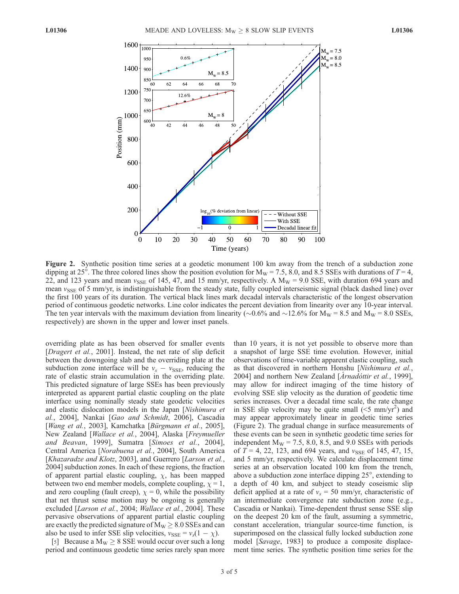

Figure 2. Synthetic position time series at a geodetic monument 100 km away from the trench of a subduction zone dipping at 25°. The three colored lines show the position evolution for  $M_W = 7.5$ , 8.0, and 8.5 SSEs with durations of  $T = 4$ , 22, and 123 years and mean  $v_{SSE}$  of 145, 47, and 15 mm/yr, respectively. A  $M_W = 9.0$  SSE, with duration 694 years and mean  $v_{\text{SSE}}$  of 5 mm/yr, is indistinguishable from the steady state, fully coupled interseismic signal (black dashed line) over the first 100 years of its duration. The vertical black lines mark decadal intervals characteristic of the longest observation period of continuous geodetic networks. Line color indicates the percent deviation from linearity over any 10-year interval. The ten year intervals with the maximum deviation from linearity ( $\sim 0.6\%$  and  $\sim 12.6\%$  for M<sub>W</sub> = 8.5 and M<sub>W</sub> = 8.0 SSEs, respectively) are shown in the upper and lower inset panels.

overriding plate as has been observed for smaller events [Dragert et al., 2001]. Instead, the net rate of slip deficit between the downgoing slab and the overriding plate at the subduction zone interface will be  $v_s - v_{\text{SSE}}$ , reducing the rate of elastic strain accumulation in the overriding plate. This predicted signature of large SSEs has been previously interpreted as apparent partial elastic coupling on the plate interface using nominally steady state geodetic velocities and elastic dislocation models in the Japan [Nishimura et al., 2004], Nankai [Gao and Schmidt, 2006], Cascadia [Wang et al., 2003], Kamchatka [Bürgmann et al., 2005], New Zealand [Wallace et al., 2004], Alaska [Freymueller and Beavan, 1999], Sumatra [Simoes et al., 2004], Central America [Norabuena et al., 2004], South America [Khazaradze and Klotz, 2003], and Guerrero [Larson et al., 2004] subduction zones. In each of these regions, the fraction of apparent partial elastic coupling,  $\chi$ , has been mapped between two end member models, complete coupling,  $\chi = 1$ , and zero coupling (fault creep),  $\chi = 0$ , while the possibility that net thrust sense motion may be ongoing is generally excluded [*Larson et al.*, 2004; *Wallace et al.*, 2004]. These pervasive observations of apparent partial elastic coupling are exactly the predicted signature of  $M_W \geq 8.0$  SSEs and can also be used to infer SSE slip velocities,  $v_{SSE} = v_s(1 - \chi)$ .

[5] Because a  $M_W \ge 8$  SSE would occur over such a long period and continuous geodetic time series rarely span more

than 10 years, it is not yet possible to observe more than a snapshot of large SSE time evolution. However, initial observations of time-variable apparent elastic coupling, such as that discovered in northern Honshu [Nishimura et al., 2004] and northern New Zealand [Arnadóttir et al., 1999], may allow for indirect imaging of the time history of evolving SSE slip velocity as the duration of geodetic time series increases. Over a decadal time scale, the rate change in SSE slip velocity may be quite small  $(5 mm/yr^2)$  and may appear approximately linear in geodetic time series (Figure 2). The gradual change in surface measurements of these events can be seen in synthetic geodetic time series for independent  $M_W = 7.5$ , 8.0, 8.5, and 9.0 SSEs with periods of  $T = 4$ , 22, 123, and 694 years, and  $v_{\text{SSE}}$  of 145, 47, 15, and 5 mm/yr, respectively. We calculate displacement time series at an observation located 100 km from the trench, above a subduction zone interface dipping 25°, extending to a depth of 40 km, and subject to steady coseismic slip deficit applied at a rate of  $v_s = 50$  mm/yr, characteristic of an intermediate convergence rate subduction zone (e.g., Cascadia or Nankai). Time-dependent thrust sense SSE slip on the deepest 20 km of the fault, assuming a symmetric, constant acceleration, triangular source-time function, is superimposed on the classical fully locked subduction zone model [Savage, 1983] to produce a composite displacement time series. The synthetic position time series for the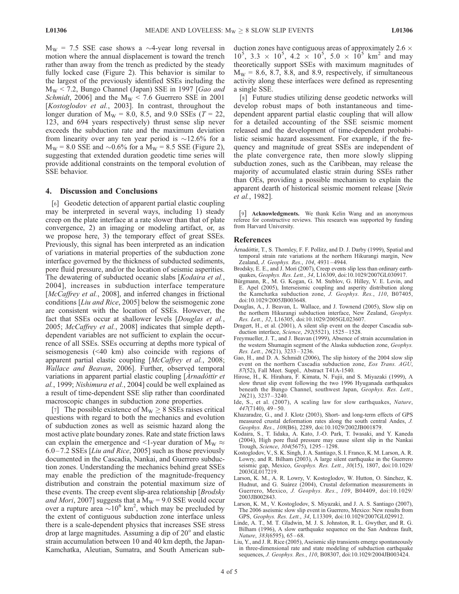$M_W = 7.5$  SSE case shows a  $\sim$ 4-year long reversal in motion where the annual displacement is toward the trench rather than away from the trench as predicted by the steady fully locked case (Figure 2). This behavior is similar to the largest of the previously identified SSEs including the  $M_W$  < 7.2, Bungo Channel (Japan) SSE in 1997 [Gao and Schmidt, 2006] and the  $M_W < 7.6$  Guerrero SSE in 2001 [Kostoglodov et al., 2003]. In contrast, throughout the longer duration of  $M_W = 8.0$ , 8.5, and 9.0 SSEs ( $T = 22$ , 123, and 694 years respectively) thrust sense slip never exceeds the subduction rate and the maximum deviation from linearity over any ten year period is  $\sim$ 12.6% for a  $M_W = 8.0$  SSE and  $\sim 0.6\%$  for a  $M_W = 8.5$  SSE (Figure 2), suggesting that extended duration geodetic time series will provide additional constraints on the temporal evolution of SSE behavior.

#### 4. Discussion and Conclusions

[6] Geodetic detection of apparent partial elastic coupling may be interpreted in several ways, including 1) steady creep on the plate interface at a rate slower than that of plate convergence, 2) an imaging or modeling artifact, or, as we propose here, 3) the temporary effect of great SSEs. Previously, this signal has been interpreted as an indication of variations in material properties of the subduction zone interface governed by the thickness of subducted sediments, pore fluid pressure, and/or the location of seismic asperities. The dewatering of subducted oceanic slabs [Kodaira et al., 2004], increases in subduction interface temperature [McCaffrey et al., 2008], and inferred changes in frictional conditions [Liu and Rice, 2005] below the seismogenic zone are consistent with the location of SSEs. However, the fact that SSEs occur at shallower levels [*Douglas et al.*, 2005; McCaffrey et al., 2008] indicates that simple depthdependent variables are not sufficient to explain the occurrence of all SSEs. SSEs occurring at depths more typical of seismogenesis (<40 km) also coincide with regions of apparent partial elastic coupling [McCaffrey et al., 2008; Wallace and Beavan, 2006]. Further, observed temporal variations in apparent partial elastic coupling [Arnadóttir et al., 1999; Nishimura et al., 2004] could be well explained as a result of time-dependent SSE slip rather than coordinated macroscopic changes in subduction zone properties.

[7] The possible existence of  $M_W > 8$  SSEs raises critical questions with regard to both the mechanics and evolution of subduction zones as well as seismic hazard along the most active plate boundary zones. Rate and state friction laws can explain the emergence and  $\leq$ 1-year duration of M<sub>W</sub>  $\approx$  $6.0 - 7.2$  SSEs [*Liu and Rice*, 2005] such as those previously documented in the Cascadia, Nankai, and Guerrero subduction zones. Understanding the mechanics behind great SSEs may enable the prediction of the magnitude-frequency distribution and constrain the potential maximum size of these events. The creep event slip-area relationship [*Brodsky* and Mori, 2007] suggests that a  $M_W = 9.0$  SSE would occur over a rupture area  $\sim 10^6$  km<sup>2</sup>, which may be precluded by the extent of contiguous subduction zone interface unless there is a scale-dependent physics that increases SSE stress drop at large magnitudes. Assuming a dip of 20° and elastic strain accumulation between 10 and 40 km depth, the Japan-Kamchatka, Aleutian, Sumatra, and South American subduction zones have contiguous areas of approximately  $2.6 \times$  $10^5$ , 3.3 ×  $10^5$ , 4.2 ×  $10^5$ , 5.0 ×  $10^5$  km<sup>2</sup> and may theoretically support SSEs with maximum magnitudes of  $M_W = 8.6, 8.7, 8.8,$  and 8.9, respectively, if simultaneous activity along these interfaces were defined as representing a single SSE.

[8] Future studies utilizing dense geodetic networks will develop robust maps of both instantaneous and timedependent apparent partial elastic coupling that will allow for a detailed accounting of the SSE seismic moment released and the development of time-dependent probabilistic seismic hazard assessment. For example, if the frequency and magnitude of great SSEs are independent of the plate convergence rate, then more slowly slipping subduction zones, such as the Caribbean, may release the majority of accumulated elastic strain during SSEs rather than OEs, providing a possible mechanism to explain the apparent dearth of historical seismic moment release [Stein et al., 1982].

[9] Acknowledgments. We thank Kelin Wang and an anonymous referee for constructive reviews. This research was supported by funding from Harvard University.

#### References

- Arnadóttir, T., S. Thornley, F. F. Pollitz, and D. J. Darby (1999), Spatial and temporal strain rate variations at the northern Hikurangi margin, New Zealand, J. Geophys. Res., 104, 4931-4944.
- Brodsky, E. E., and J. Mori (2007), Creep events slip less than ordinary earthquakes, Geophys. Res. Lett., 34, L16309, doi:10.1029/2007GL030917.
- Bürgmann, R., M. G. Kogan, G. M. Steblov, G. Hilley, V. E. Levin, and E. Apel (2005), Interseismic coupling and asperity distribution along the Kamchatka subduction zone, J. Geophys. Res., 110, B07405, doi:10.1029/2005JB003648.
- Douglas, A., J. Beavan, L. Wallace, and J. Townend (2005), Slow slip on the northern Hikurangi subduction interface, New Zealand, Geophys. Res. Lett., 32, L16305, doi:10.1029/2005GL023607.
- Dragert, H., et al. (2001), A silent slip event on the deeper Cascadia subduction interface, Science, 292(5521), 1525-1528.
- Freymueller, J. T., and J. Beavan (1999), Absence of strain accumulation in the western Shumagin segment of the Alaska subduction zone, Geophys. Res. Lett., 26(21), 3233 – 3236.
- Gao, H., and D. A. Schmidt (2006), The slip history of the 2004 slow slip event on the northern Cascadia subduction zone, Eos Trans. AGU, 87(52), Fall Meet. Suppl., Abstract T41A-1540.
- Hirose, H., K. Hirahara, F. Kimata, N. Fujii, and S. Miyazaki (1999), A slow thrust slip event following the two 1996 Hyuganada earthquakes beneath the Bungo Channel, southwest Japan, Geophys. Res. Lett., 26(21), 3237 – 3240.
- Ide, S., et al. (2007), A scaling law for slow earthquakes, Nature, 447(7140), 49 – 50.
- Khazaradze, G., and J. Klotz (2003), Short- and long-term effects of GPS measured crustal deformation rates along the south central Andes, J. Geophys. Res., 108(B6), 2289, doi:10.1029/2002JB001879.
- Kodaira, S., T. Iidaka, A. Kato, J.-O. Park, T. Iwasaki, and Y. Kaneda (2004), High pore fluid pressure may cause silent slip in the Nankai Trough, Science, 304(5675), 1295 – 1298.
- Kostoglodov, V., S. K. Singh, J. A. Santiago, S. I. Franco, K. M. Larson, A. R. Lowry, and R. Bilham (2003), A large silent earthquake in the Guerrero seismic gap, Mexico, Geophys. Res. Lett., 30(15), 1807, doi:10.1029/ 2003GL017219.
- Larson, K. M., A. R. Lowry, V. Kostoglodov, W. Hutton, O. Sánchez, K. Hudnut, and G. Suárez (2004), Crustal deformation measurements in Guerrero, Mexico, J. Geophys. Res., 109, B04409, doi:10.1029/ 2003JB002843.
- Larson, K. M., V. Kostoglodov, S. Miyazaki, and J. A. S. Santiago (2007), The 2006 aseismic slow slip event in Guerrero, Mexico: New results from GPS, Geophys. Res. Lett., 34, L13309, doi:10.1029/2007GL029912.
- Linde, A. T., M. T. Gladwin, M. J. S. Johnston, R. L. Gwyther, and R. G. Bilham (1996), A slow earthquake sequence on the San Andreas fault, Nature, 383(6595), 65-68.
- Liu, Y., and J. R. Rice (2005), Aseismic slip transients emerge spontaneously in three-dimensional rate and state modeling of subduction earthquake sequences, J. Geophys. Res., 110, B08307, doi:10.1029/2004JB003424.